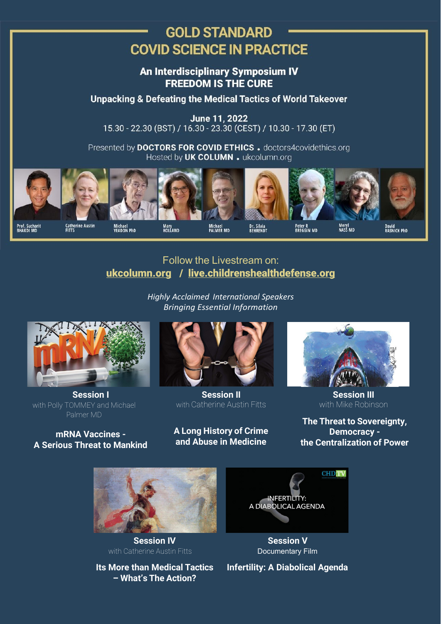# **GOLD STANDARD COVID SCIENCE IN PRACTICE**

An Interdisciplinary Symposium IV **FREEDOM IS THE CURE** 

**Unpacking & Defeating the Medical Tactics of World Takeover** 

June 11, 2022 15.30 - 22.30 (BST) / 16.30 - 23.30 (CEST) / 10.30 - 17.30 (ET)

Presented by DOCTORS FOR COVID ETHICS. doctors4covidethics.org Hosted by UK COLUMN . ukcolumn.org



### Follow the [Livestream](https://www.ukcolumn.org/) on: [ukcolumn.org](http://ukcolumn.org/) [/](https://www.ukcolumn.org/) [live.childrenshealthdefense.org](http://live.childrenshealthdefense.org/)

*Highly Acclaimed International Speakers Bringing Essential Information*



**Session I** with Polly TOMMEY and Michael Palmer MD

#### **mRNA Vaccines - A Serious Threat to Mankind**



**Session II** with Catherine Austin Fitts

#### **A Long History of Crime and Abuse in Medicine**



**Session III** with Mike Robinson

**The Threat to Sovereignty, Democracy the Centralization of Power**



**Session IV** with Catherine Austin Fitts

**Its More than Medical Tactics – What's The Action?**



**Session V** Documentary Film

**Infertility: A Diabolical Agenda**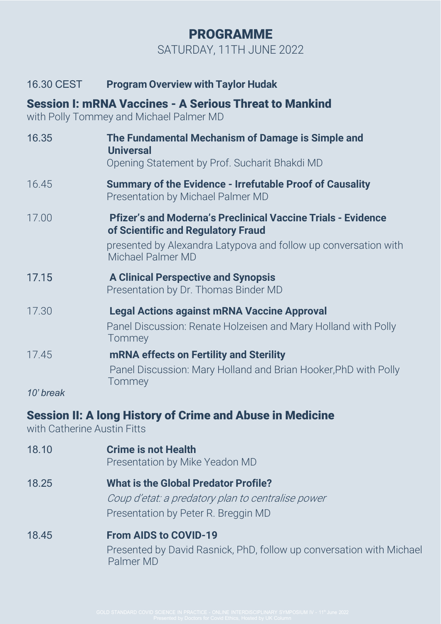# PROGRAMME SATURDAY, 11TH JUNE 2022

#### 16.30 CEST **Program Overview with Taylor Hudak**

## Session I: mRNA Vaccines - A Serious Threat to Mankind

with Polly Tommey and Michael Palmer MD

| 16.35 | The Fundamental Mechanism of Damage is Simple and<br><b>Universal</b><br>Opening Statement by Prof. Sucharit Bhakdi MD                                                                            |
|-------|---------------------------------------------------------------------------------------------------------------------------------------------------------------------------------------------------|
| 16.45 | <b>Summary of the Evidence - Irrefutable Proof of Causality</b><br>Presentation by Michael Palmer MD                                                                                              |
| 17.00 | <b>Pfizer's and Moderna's Preclinical Vaccine Trials - Evidence</b><br>of Scientific and Regulatory Fraud<br>presented by Alexandra Latypova and follow up conversation with<br>Michael Palmer MD |
| 17.15 | <b>A Clinical Perspective and Synopsis</b><br>Presentation by Dr. Thomas Binder MD                                                                                                                |
| 17.30 | <b>Legal Actions against mRNA Vaccine Approval</b><br>Panel Discussion: Renate Holzeisen and Mary Holland with Polly<br>Tommey                                                                    |
| 17.45 | <b>mRNA effects on Fertility and Sterility</b><br>Panel Discussion: Mary Holland and Brian Hooker, PhD with Polly<br>Tommey                                                                       |

*10' break*

## Session II: A long History of Crime and Abuse in Medicine

with Catherine Austin Fitts

- 18.10 **Crime is not Health** Presentation by Mike Yeadon MD
- 18.25 **What is the Global Predator Profile?** Coup d'etat: a predatory plan to centralise power Presentation by Peter R. Breggin MD
- 18.45 **From AIDS to COVID-19** Presented by David Rasnick, PhD, follow up conversation with Michael Palmer MD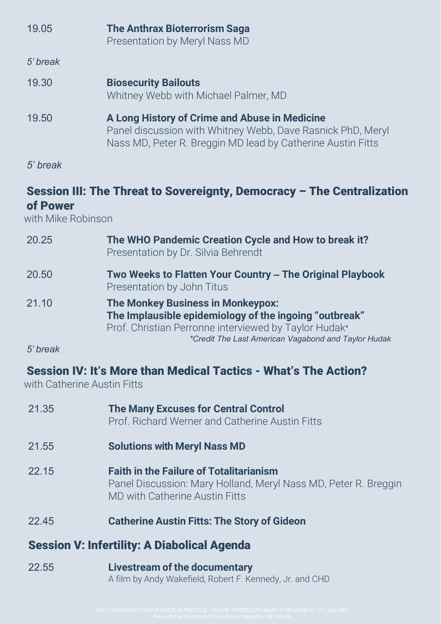| 19.05    | <b>The Anthrax Bioterrorism Saga</b><br>Presentation by Meryl Nass MD                                                                                                       |
|----------|-----------------------------------------------------------------------------------------------------------------------------------------------------------------------------|
| 5' break |                                                                                                                                                                             |
| 19.30    | <b>Biosecurity Bailouts</b><br>Whitney Webb with Michael Palmer, MD                                                                                                         |
| 19.50    | A Long History of Crime and Abuse in Medicine<br>Panel discussion with Whitney Webb, Dave Rasnick PhD, Meryl<br>Nass MD, Peter R. Breggin MD lead by Catherine Austin Fitts |

*5' break*

# Session III: The Threat to Sovereignty, Democracy – The Centralization of Power

with Mike Robinson

| 20.25    | The WHO Pandemic Creation Cycle and How to break it?<br>Presentation by Dr. Silvia Behrendt                                                                                                                        |
|----------|--------------------------------------------------------------------------------------------------------------------------------------------------------------------------------------------------------------------|
| 20.50    | Two Weeks to Flatten Your Country - The Original Playbook<br>Presentation by John Titus                                                                                                                            |
| 21.10    | <b>The Monkey Business in Monkeypox:</b><br>The Implausible epidemiology of the ingoing "outbreak"<br>Prof. Christian Perronne interviewed by Taylor Hudak*<br>*Credit The Last American Vagabond and Taylor Hudak |
| 5' break |                                                                                                                                                                                                                    |

# Session IV: It's More than Medical Tactics - What's The Action?

with Catherine Austin Fitts

| 21.35                                              | <b>The Many Excuses for Central Control</b><br>Prof. Richard Werner and Catherine Austin Fitts                                                      |  |
|----------------------------------------------------|-----------------------------------------------------------------------------------------------------------------------------------------------------|--|
| 21.55                                              | <b>Solutions with Meryl Nass MD</b>                                                                                                                 |  |
| 22.15                                              | <b>Faith in the Failure of Totalitarianism</b><br>Panel Discussion: Mary Holland, Meryl Nass MD, Peter R. Breggin<br>MD with Catherine Austin Fitts |  |
| 22.45                                              | <b>Catherine Austin Fitts: The Story of Gideon</b>                                                                                                  |  |
| <b>Session V: Infertility: A Diabolical Agenda</b> |                                                                                                                                                     |  |
| 22.55                                              | <b>Livestream of the documentary</b><br>A film by Andy Wakefield, Robert F. Kennedy, Jr. and CHD                                                    |  |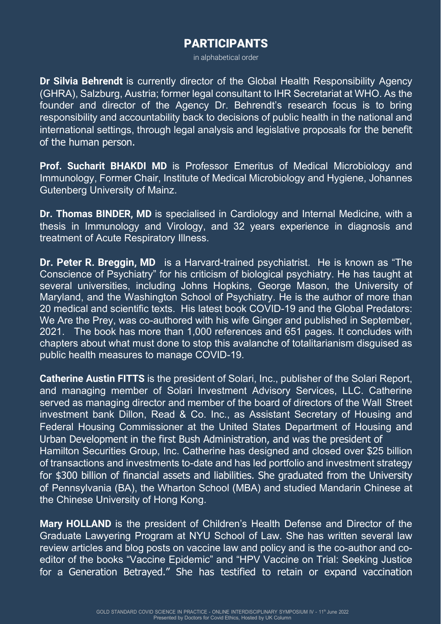## PARTICIPANTS

in alphabetical order

**Dr Silvia Behrendt** is currently director of the Global Health Responsibility Agency (GHRA), Salzburg, Austria; former legal consultant to IHR Secretariat at WHO. As the founder and director of the Agency Dr. Behrendt's research focus is to bring responsibility and accountability back to decisions of public health in the national and international settings, through legal analysis and legislative proposals for the benefit of the human person.

**Prof. Sucharit BHAKDI MD** is Professor Emeritus of Medical Microbiology and Immunology, Former Chair, Institute of Medical Microbiology and Hygiene, Johannes Gutenberg University of Mainz.

**Dr. Thomas BINDER, MD** is specialised in Cardiology and Internal Medicine, with a thesis in Immunology and Virology, and 32 years experience in diagnosis and treatment of Acute Respiratory Illness.

**Dr. Peter R. Breggin, MD** is a Harvard-trained psychiatrist. He is known as "The Conscience of Psychiatry" for his criticism of biological psychiatry. He has taught at several universities, including Johns Hopkins, George Mason, the University of Maryland, and the Washington School of Psychiatry. He is the author of more than 20 medical and scientific texts. His latest book COVID-19 and the Global Predators: We Are the Prey, was co-authored with his wife Ginger and published in September, 2021. The book has more than 1,000 references and 651 pages. It concludes with chapters about what must done to stop this avalanche of totalitarianism disguised as public health measures to manage COVID-19.

**Catherine Austin FITTS** is the president of Solari, Inc., publisher of the Solari Report, and managing member of Solari Investment Advisory Services, LLC. Catherine served as managing director and member of the board of directors of the Wall Street investment bank Dillon, Read & Co. Inc., as Assistant Secretary of Housing and Federal Housing Commissioner at the United States Department of Housing and Urban Development in the first Bush Administration, and was the president of Hamilton Securities Group, Inc. Catherine has designed and closed over \$25 billion of transactions and investments to-date and has led portfolio and investment strategy for \$300 billion of financial assets and liabilities. She graduated from the University of Pennsylvania (BA), the Wharton School (MBA) and studied Mandarin Chinese at the Chinese University of Hong Kong.

**Mary HOLLAND** is the president of Children's Health Defense and Director of the Graduate Lawyering Program at NYU School of Law. She has written several law review articles and blog posts on vaccine law and policy and is the co-author and coeditor of the books "Vaccine Epidemic" and "HPV Vaccine on Trial: Seeking Justice for a Generation Betrayed." She has testified to retain or expand vaccination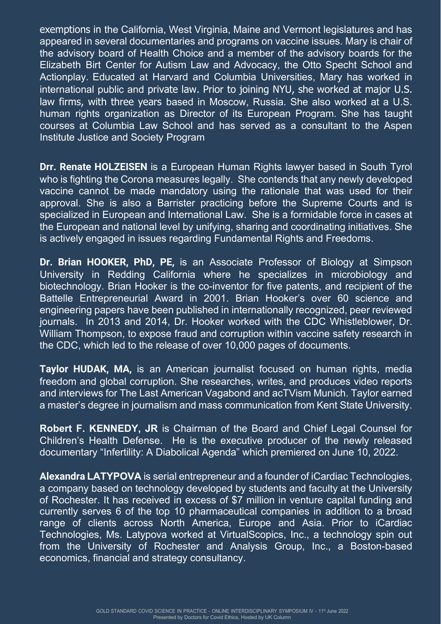exemptions in the California, West Virginia, Maine and Vermont legislatures and has appeared in several documentaries and programs on vaccine issues. Mary is chair of the advisory board of Health Choice and a member of the advisory boards for the Elizabeth Birt Center for Autism Law and Advocacy, the Otto Specht School and Actionplay. Educated at Harvard and Columbia Universities, Mary has worked in international public and private law. Prior to joining NYU, she worked at major U.S. law firms, with three years based in Moscow, Russia. She also worked at a U.S. human rights organization as Director of its European Program. She has taught courses at Columbia Law School and has served as a consultant to the Aspen Institute Justice and Society Program

**Drr. Renate HOLZEISEN** is a European Human Rights lawyer based in South Tyrol who is fighting the Corona measures legally. She contends that any newly developed vaccine cannot be made mandatory using the rationale that was used for their approval. She is also a Barrister practicing before the Supreme Courts and is specialized in European and International Law. She is a formidable force in cases at the European and national level by unifying, sharing and coordinating initiatives. She is actively engaged in issues regarding Fundamental Rights and Freedoms.

**Dr. Brian HOOKER, PhD, PE,** is an Associate Professor of Biology at Simpson University in Redding California where he specializes in microbiology and biotechnology. Brian Hooker is the co-inventor for five patents, and recipient of the Battelle Entrepreneurial Award in 2001. Brian Hooker's over 60 science and engineering papers have been published in internationally recognized, peer reviewed journals. In 2013 and 2014, Dr. Hooker worked with the CDC Whistleblower, Dr. William Thompson, to expose fraud and corruption within vaccine safety research in the CDC, which led to the release of over 10,000 pages of documents.

**Taylor HUDAK, MA,** is an American journalist focused on human rights, media freedom and global corruption. She researches, writes, and produces video reports and interviews for The Last American Vagabond and acTVism Munich. Taylor earned a master's degree in journalism and mass communication from Kent State University.

**Robert F. KENNEDY, JR** is Chairman of the Board and Chief Legal Counsel for Children's Health Defense. He is the executive producer of the newly released documentary "Infertility: A Diabolical Agenda" which premiered on June 10, 2022.

**Alexandra LATYPOVA** is serial entrepreneur and a founder of iCardiac Technologies, a company based on technology developed by students and faculty at the University of Rochester. It has received in excess of \$7 million in venture capital funding and currently serves 6 of the top 10 pharmaceutical companies in addition to a broad range of clients across North America, Europe and Asia. Prior to iCardiac Technologies, Ms. Latypova worked at VirtualScopics, Inc., a technology spin out from the University of Rochester and Analysis Group, Inc., a Boston-based economics, financial and strategy consultancy.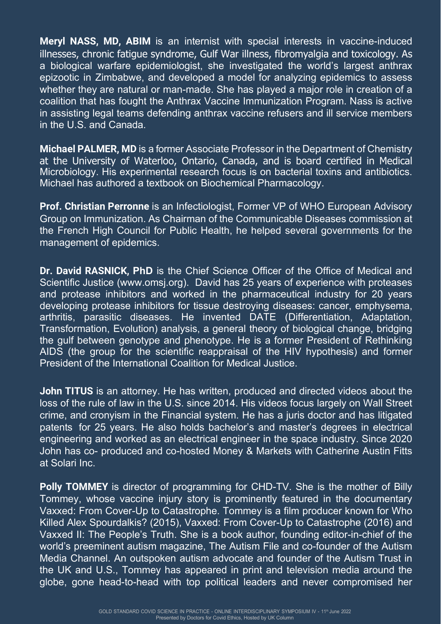**Meryl NASS, MD, ABIM** is an internist with special interests in vaccine-induced illnesses, chronic fatigue syndrome, Gulf War illness, fibromyalgia and toxicology. As a biological warfare epidemiologist, she investigated the world's largest anthrax epizootic in Zimbabwe, and developed a model for analyzing epidemics to assess whether they are natural or man-made. She has played a major role in creation of a coalition that has fought the Anthrax Vaccine Immunization Program. Nass is active in assisting legal teams defending anthrax vaccine refusers and ill service members in the U.S. and Canada.

**Michael PALMER, MD** is a former Associate Professor in the Department of Chemistry at the University of Waterloo, Ontario, Canada, and is board certified in Medical Microbiology. His experimental research focus is on bacterial toxins and antibiotics. Michael has authored a textbook on Biochemical Pharmacology.

**Prof. Christian Perronne** is an Infectiologist, Former VP of WHO European Advisory Group on Immunization. As Chairman of the Communicable Diseases commission at the French High Council for Public Health, he helped several governments for the management of epidemics.

**Dr. David RASNICK, PhD** is the Chief Science Officer of the Office of Medical and Scientific Justice [\(www.omsj.org\)](http://www.omsj.org/). David has 25 years of experience with proteases and protease inhibitors and worked in the pharmaceutical industry for 20 years developing protease inhibitors for tissue destroying diseases: cancer, emphysema, arthritis, parasitic diseases. He invented DATE (Differentiation, Adaptation, Transformation, Evolution) analysis, a general theory of biological change, bridging the gulf between genotype and phenotype. He is a former President of Rethinking AIDS (the group for the scientific reappraisal of the HIV hypothesis) and former President of the International Coalition for Medical Justice.

**John TITUS** is an attorney. He has written, produced and directed videos about the loss of the rule of law in the U.S. since 2014. His videos focus largely on Wall Street crime, and cronyism in the Financial system. He has a juris doctor and has litigated patents for 25 years. He also holds bachelor's and master's degrees in electrical engineering and worked as an electrical engineer in the space industry. Since 2020 John has co- produced and co-hosted Money & Markets with Catherine Austin Fitts at Solari Inc.

**Polly TOMMEY** is director of programming for CHD-TV. She is the mother of Billy Tommey, whose vaccine injury story is prominently featured in the documentary Vaxxed: From Cover-Up to Catastrophe. Tommey is a film producer known for Who Killed Alex Spourdalkis? (2015), Vaxxed: From Cover-Up to Catastrophe (2016) and Vaxxed II: The People's Truth. She is a book author, founding editor-in-chief of the world's preeminent autism magazine, The Autism File and co-founder of the Autism Media Channel. An outspoken autism advocate and founder of the Autism Trust in the UK and U.S., Tommey has appeared in print and television media around the globe, gone head-to-head with top political leaders and never compromised her